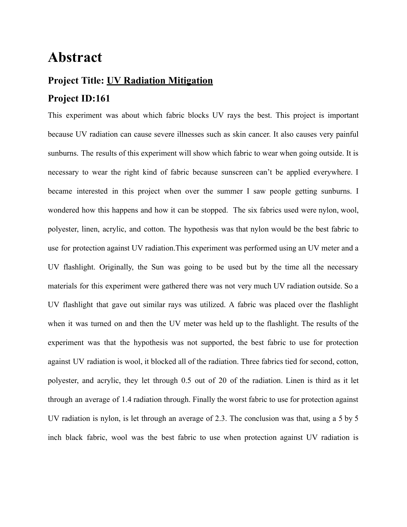## **Abstract**

## **Project Title: UV Radiation Mitigation**

## **Project ID:161**

This experiment was about which fabric blocks UV rays the best. This project is important because UV radiation can cause severe illnesses such as skin cancer. It also causes very painful sunburns. The results of this experiment will show which fabric to wear when going outside. It is necessary to wear the right kind of fabric because sunscreen can't be applied everywhere. I became interested in this project when over the summer I saw people getting sunburns. I wondered how this happens and how it can be stopped. The six fabrics used were nylon, wool, polyester, linen, acrylic, and cotton. The hypothesis was that nylon would be the best fabric to use for protection against UV radiation.This experiment was performed using an UV meter and a UV flashlight. Originally, the Sun was going to be used but by the time all the necessary materials for this experiment were gathered there was not very much UV radiation outside. So a UV flashlight that gave out similar rays was utilized. A fabric was placed over the flashlight when it was turned on and then the UV meter was held up to the flashlight. The results of the experiment was that the hypothesis was not supported, the best fabric to use for protection against UV radiation is wool, it blocked all of the radiation. Three fabrics tied for second, cotton, polyester, and acrylic, they let through 0.5 out of 20 of the radiation. Linen is third as it let through an average of 1.4 radiation through. Finally the worst fabric to use for protection against UV radiation is nylon, is let through an average of 2.3. The conclusion was that, using a 5 by 5 inch black fabric, wool was the best fabric to use when protection against UV radiation is